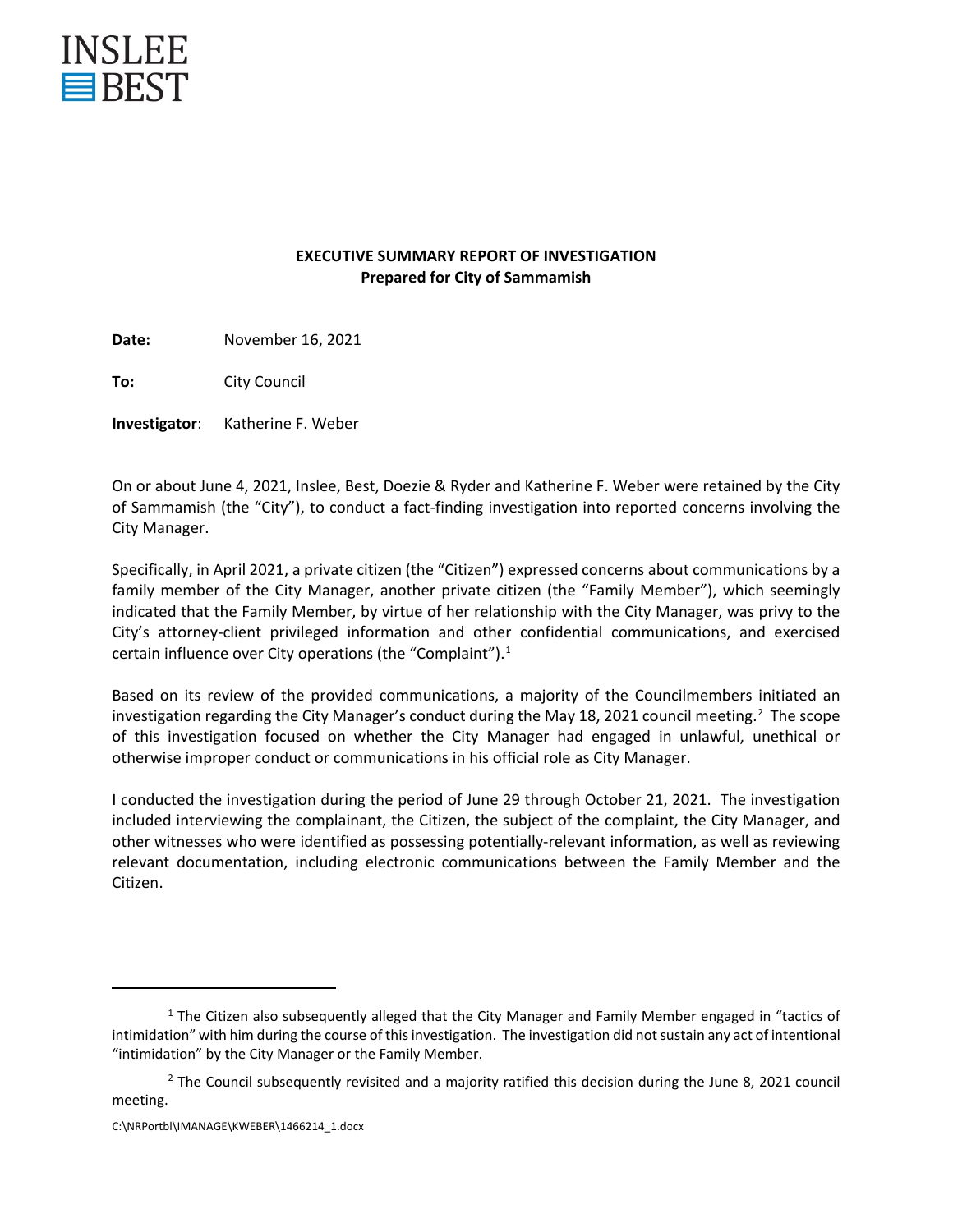

#### **EXECUTIVE SUMMARY REPORT OF INVESTIGATION Prepared for City of Sammamish**

**Date:** November 16, 2021

**To:** City Council

**Investigator**: Katherine F. Weber

On or about June 4, 2021, Inslee, Best, Doezie & Ryder and Katherine F. Weber were retained by the City of Sammamish (the "City"), to conduct a fact-finding investigation into reported concerns involving the City Manager.

Specifically, in April 2021, a private citizen (the "Citizen") expressed concerns about communications by a family member of the City Manager, another private citizen (the "Family Member"), which seemingly indicated that the Family Member, by virtue of her relationship with the City Manager, was privy to the City's attorney-client privileged information and other confidential communications, and exercised certain influence over City operations (the "Complaint"). 1

Based on its review of the provided communications, a majority of the Councilmembers initiated an investigation regarding the City Manager's conduct during the May 18, 2021 council meeting.<sup>2</sup> The scope of this investigation focused on whether the City Manager had engaged in unlawful, unethical or otherwise improper conduct or communications in his official role as City Manager.

I conducted the investigation during the period of June 29 through October 21, 2021. The investigation included interviewing the complainant, the Citizen, the subject of the complaint, the City Manager, and other witnesses who were identified as possessing potentially-relevant information, as well as reviewing relevant documentation, including electronic communications between the Family Member and the Citizen.

<sup>&</sup>lt;sup>1</sup> The Citizen also subsequently alleged that the City Manager and Family Member engaged in "tactics of intimidation" with him during the course of this investigation. The investigation did not sustain any act of intentional "intimidation" by the City Manager or the Family Member.

 $<sup>2</sup>$  The Council subsequently revisited and a majority ratified this decision during the June 8, 2021 council</sup> meeting.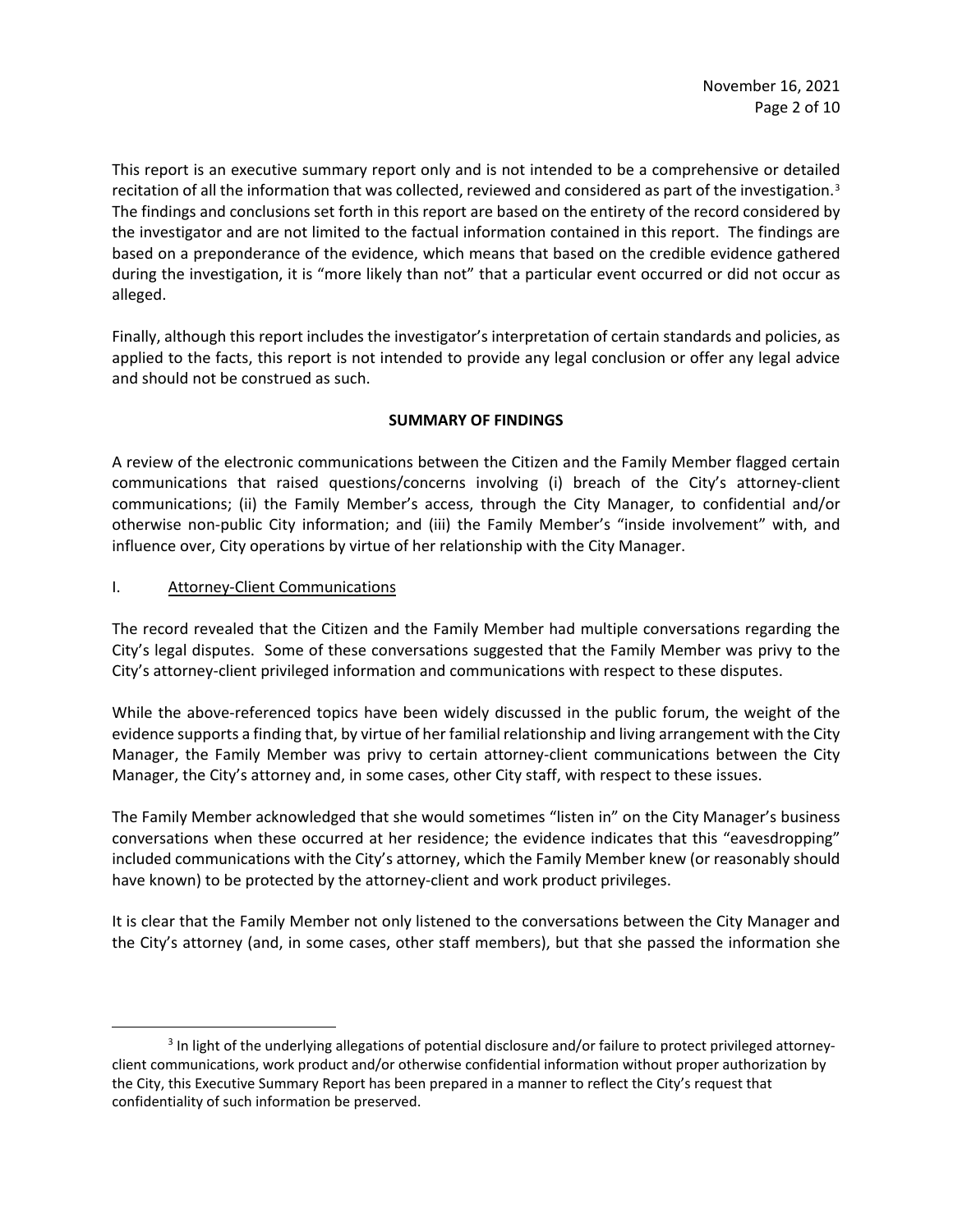This report is an executive summary report only and is not intended to be a comprehensive or detailed recitation of all the information that was collected, reviewed and considered as part of the investigation.<sup>3</sup> The findings and conclusions set forth in this report are based on the entirety of the record considered by the investigator and are not limited to the factual information contained in this report. The findings are based on a preponderance of the evidence, which means that based on the credible evidence gathered during the investigation, it is "more likely than not" that a particular event occurred or did not occur as alleged.

Finally, although this report includes the investigator's interpretation of certain standards and policies, as applied to the facts, this report is not intended to provide any legal conclusion or offer any legal advice and should not be construed as such.

## **SUMMARY OF FINDINGS**

A review of the electronic communications between the Citizen and the Family Member flagged certain communications that raised questions/concerns involving (i) breach of the City's attorney-client communications; (ii) the Family Member's access, through the City Manager, to confidential and/or otherwise non-public City information; and (iii) the Family Member's "inside involvement" with, and influence over, City operations by virtue of her relationship with the City Manager.

#### I. Attorney-Client Communications

The record revealed that the Citizen and the Family Member had multiple conversations regarding the City's legal disputes. Some of these conversations suggested that the Family Member was privy to the City's attorney-client privileged information and communications with respect to these disputes.

While the above-referenced topics have been widely discussed in the public forum, the weight of the evidence supports a finding that, by virtue of her familial relationship and living arrangement with the City Manager, the Family Member was privy to certain attorney-client communications between the City Manager, the City's attorney and, in some cases, other City staff, with respect to these issues.

The Family Member acknowledged that she would sometimes "listen in" on the City Manager's business conversations when these occurred at her residence; the evidence indicates that this "eavesdropping" included communications with the City's attorney, which the Family Member knew (or reasonably should have known) to be protected by the attorney-client and work product privileges.

It is clear that the Family Member not only listened to the conversations between the City Manager and the City's attorney (and, in some cases, other staff members), but that she passed the information she

<sup>3</sup> In light of the underlying allegations of potential disclosure and/or failure to protect privileged attorneyclient communications, work product and/or otherwise confidential information without proper authorization by the City, this Executive Summary Report has been prepared in a manner to reflect the City's request that confidentiality of such information be preserved.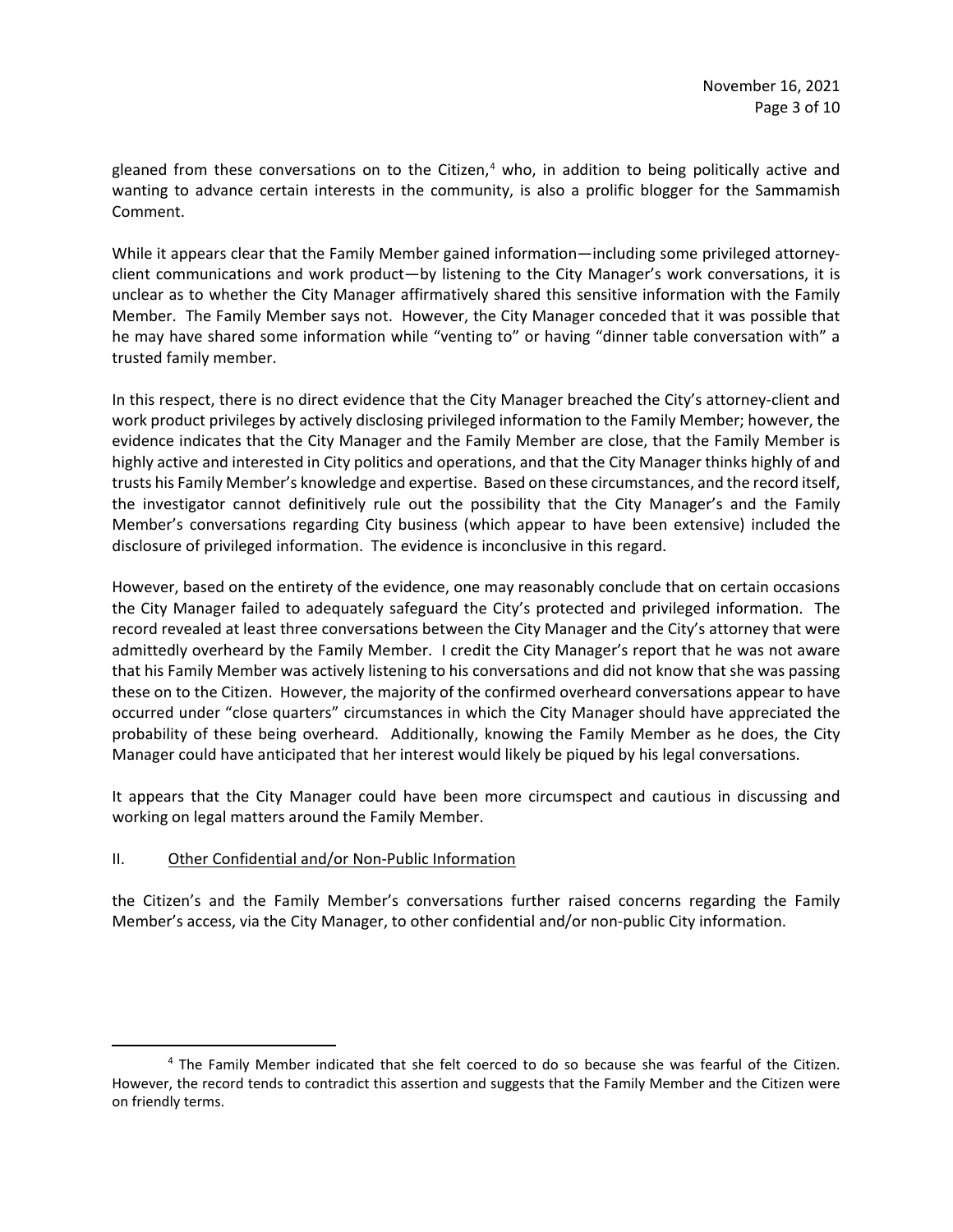gleaned from these conversations on to the Citizen, <sup>4</sup> who, in addition to being politically active and wanting to advance certain interests in the community, is also a prolific blogger for the Sammamish Comment.

While it appears clear that the Family Member gained information—including some privileged attorneyclient communications and work product—by listening to the City Manager's work conversations, it is unclear as to whether the City Manager affirmatively shared this sensitive information with the Family Member. The Family Member says not. However, the City Manager conceded that it was possible that he may have shared some information while "venting to" or having "dinner table conversation with" a trusted family member.

In this respect, there is no direct evidence that the City Manager breached the City's attorney-client and work product privileges by actively disclosing privileged information to the Family Member; however, the evidence indicates that the City Manager and the Family Member are close, that the Family Member is highly active and interested in City politics and operations, and that the City Manager thinks highly of and trusts his Family Member's knowledge and expertise. Based on these circumstances, and the record itself, the investigator cannot definitively rule out the possibility that the City Manager's and the Family Member's conversations regarding City business (which appear to have been extensive) included the disclosure of privileged information. The evidence is inconclusive in this regard.

However, based on the entirety of the evidence, one may reasonably conclude that on certain occasions the City Manager failed to adequately safeguard the City's protected and privileged information. The record revealed at least three conversations between the City Manager and the City's attorney that were admittedly overheard by the Family Member. I credit the City Manager's report that he was not aware that his Family Member was actively listening to his conversations and did not know that she was passing these on to the Citizen. However, the majority of the confirmed overheard conversations appear to have occurred under "close quarters" circumstances in which the City Manager should have appreciated the probability of these being overheard. Additionally, knowing the Family Member as he does, the City Manager could have anticipated that her interest would likely be piqued by his legal conversations.

It appears that the City Manager could have been more circumspect and cautious in discussing and working on legal matters around the Family Member.

#### II. Other Confidential and/or Non-Public Information

the Citizen's and the Family Member's conversations further raised concerns regarding the Family Member's access, via the City Manager, to other confidential and/or non-public City information.

<sup>&</sup>lt;sup>4</sup> The Family Member indicated that she felt coerced to do so because she was fearful of the Citizen. However, the record tends to contradict this assertion and suggests that the Family Member and the Citizen were on friendly terms.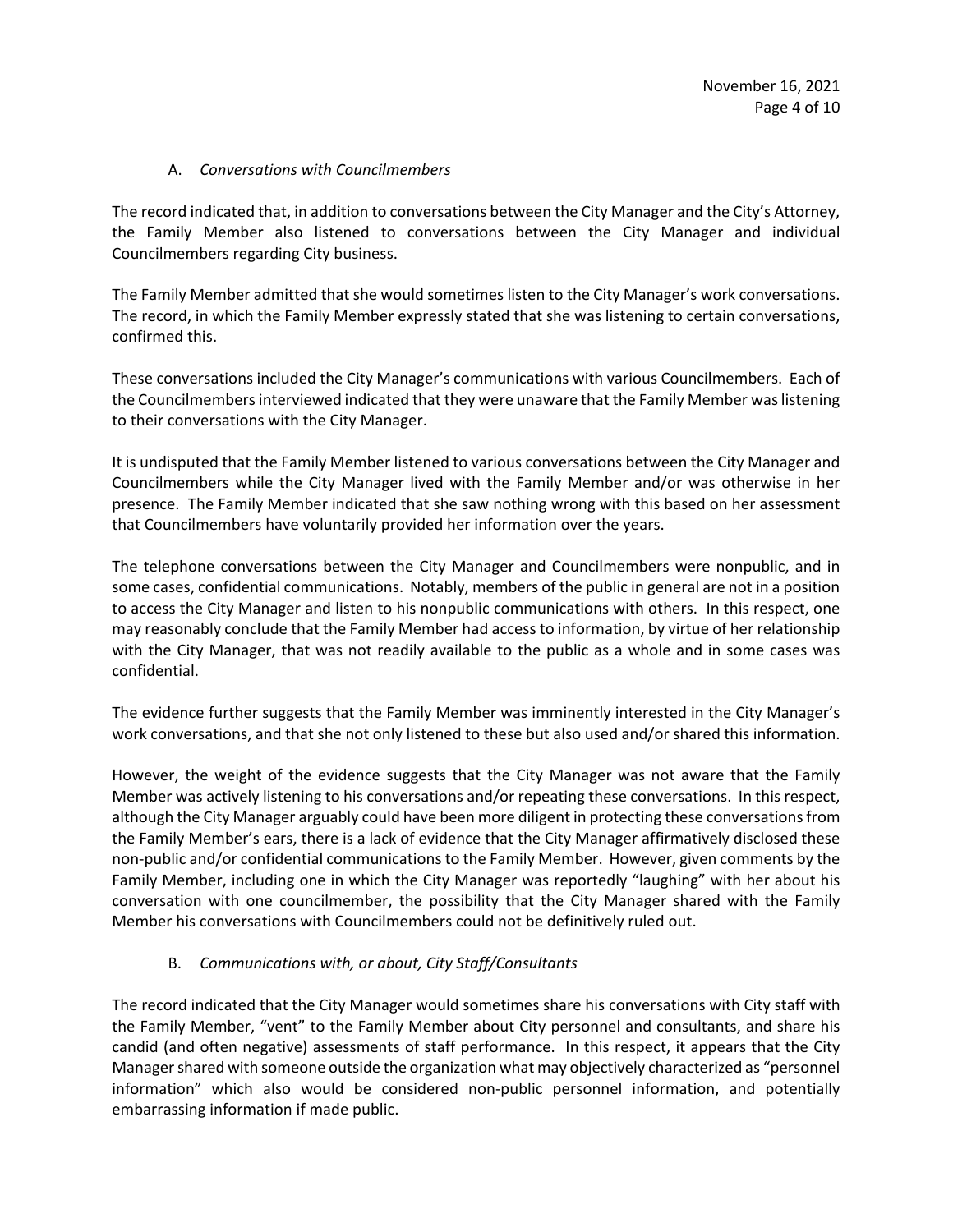#### A. *Conversations with Councilmembers*

The record indicated that, in addition to conversations between the City Manager and the City's Attorney, the Family Member also listened to conversations between the City Manager and individual Councilmembers regarding City business.

The Family Member admitted that she would sometimes listen to the City Manager's work conversations. The record, in which the Family Member expressly stated that she was listening to certain conversations, confirmed this.

These conversations included the City Manager's communications with various Councilmembers. Each of the Councilmembers interviewed indicated that they were unaware that the Family Member was listening to their conversations with the City Manager.

It is undisputed that the Family Member listened to various conversations between the City Manager and Councilmembers while the City Manager lived with the Family Member and/or was otherwise in her presence. The Family Member indicated that she saw nothing wrong with this based on her assessment that Councilmembers have voluntarily provided her information over the years.

The telephone conversations between the City Manager and Councilmembers were nonpublic, and in some cases, confidential communications. Notably, members of the public in general are not in a position to access the City Manager and listen to his nonpublic communications with others. In this respect, one may reasonably conclude that the Family Member had access to information, by virtue of her relationship with the City Manager, that was not readily available to the public as a whole and in some cases was confidential.

The evidence further suggests that the Family Member was imminently interested in the City Manager's work conversations, and that she not only listened to these but also used and/or shared this information.

However, the weight of the evidence suggests that the City Manager was not aware that the Family Member was actively listening to his conversations and/or repeating these conversations. In this respect, although the City Manager arguably could have been more diligent in protecting these conversations from the Family Member's ears, there is a lack of evidence that the City Manager affirmatively disclosed these non-public and/or confidential communications to the Family Member. However, given comments by the Family Member, including one in which the City Manager was reportedly "laughing" with her about his conversation with one councilmember, the possibility that the City Manager shared with the Family Member his conversations with Councilmembers could not be definitively ruled out.

# B. *Communications with, or about, City Staff/Consultants*

The record indicated that the City Manager would sometimes share his conversations with City staff with the Family Member, "vent" to the Family Member about City personnel and consultants, and share his candid (and often negative) assessments of staff performance. In this respect, it appears that the City Manager shared with someone outside the organization what may objectively characterized as "personnel information" which also would be considered non-public personnel information, and potentially embarrassing information if made public.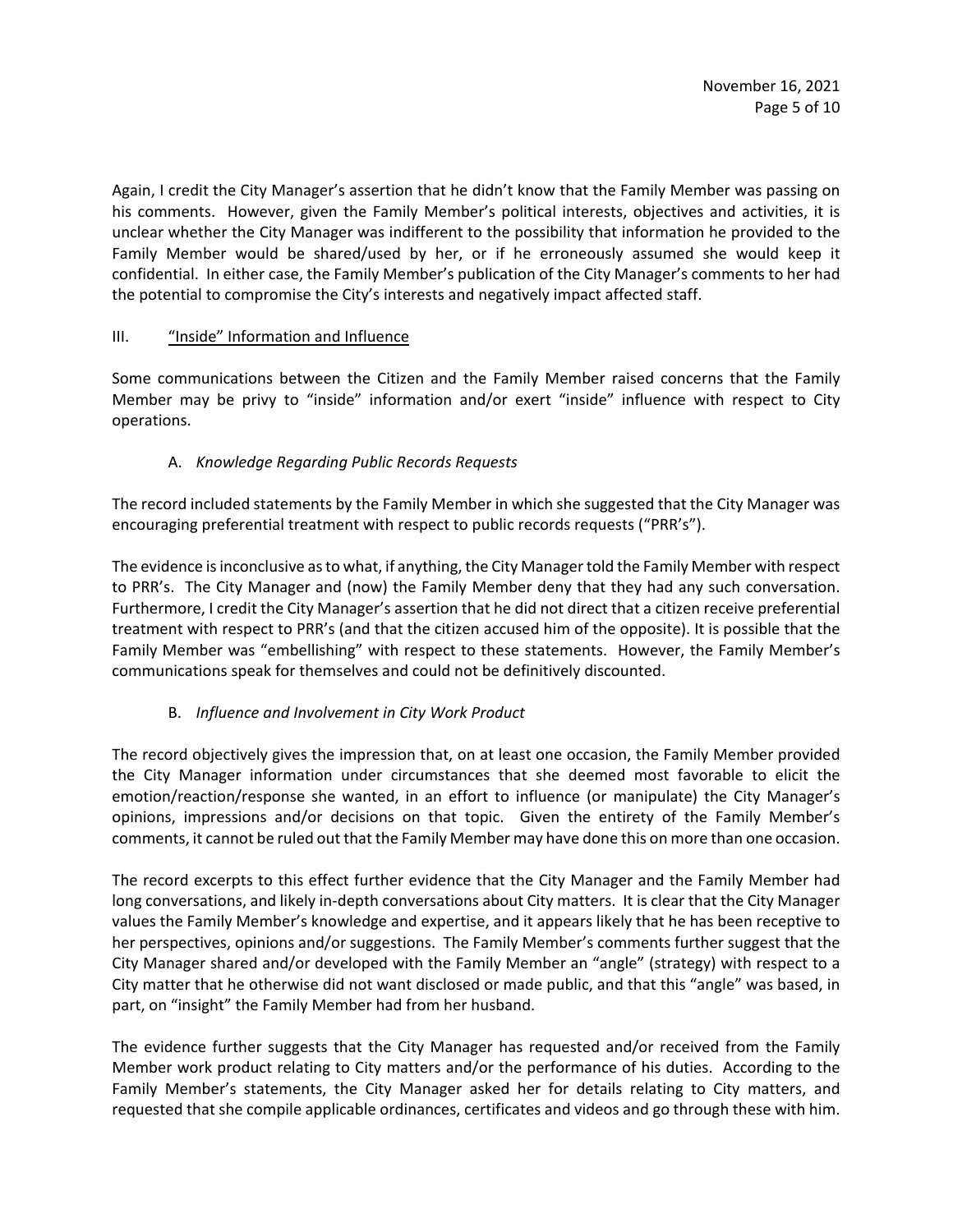Again, I credit the City Manager's assertion that he didn't know that the Family Member was passing on his comments. However, given the Family Member's political interests, objectives and activities, it is unclear whether the City Manager was indifferent to the possibility that information he provided to the Family Member would be shared/used by her, or if he erroneously assumed she would keep it confidential. In either case, the Family Member's publication of the City Manager's comments to her had the potential to compromise the City's interests and negatively impact affected staff.

## III. "Inside" Information and Influence

Some communications between the Citizen and the Family Member raised concerns that the Family Member may be privy to "inside" information and/or exert "inside" influence with respect to City operations.

# A. *Knowledge Regarding Public Records Requests*

The record included statements by the Family Member in which she suggested that the City Manager was encouraging preferential treatment with respect to public records requests ("PRR's").

The evidence is inconclusive as to what, if anything, the City Managertold the Family Member with respect to PRR's. The City Manager and (now) the Family Member deny that they had any such conversation. Furthermore, I credit the City Manager's assertion that he did not direct that a citizen receive preferential treatment with respect to PRR's (and that the citizen accused him of the opposite). It is possible that the Family Member was "embellishing" with respect to these statements. However, the Family Member's communications speak for themselves and could not be definitively discounted.

# B. *Influence and Involvement in City Work Product*

The record objectively gives the impression that, on at least one occasion, the Family Member provided the City Manager information under circumstances that she deemed most favorable to elicit the emotion/reaction/response she wanted, in an effort to influence (or manipulate) the City Manager's opinions, impressions and/or decisions on that topic. Given the entirety of the Family Member's comments, it cannot be ruled out that the Family Member may have done this on more than one occasion.

The record excerpts to this effect further evidence that the City Manager and the Family Member had long conversations, and likely in-depth conversations about City matters. It is clear that the City Manager values the Family Member's knowledge and expertise, and it appears likely that he has been receptive to her perspectives, opinions and/or suggestions. The Family Member's comments further suggest that the City Manager shared and/or developed with the Family Member an "angle" (strategy) with respect to a City matter that he otherwise did not want disclosed or made public, and that this "angle" was based, in part, on "insight" the Family Member had from her husband.

The evidence further suggests that the City Manager has requested and/or received from the Family Member work product relating to City matters and/or the performance of his duties. According to the Family Member's statements, the City Manager asked her for details relating to City matters, and requested that she compile applicable ordinances, certificates and videos and go through these with him.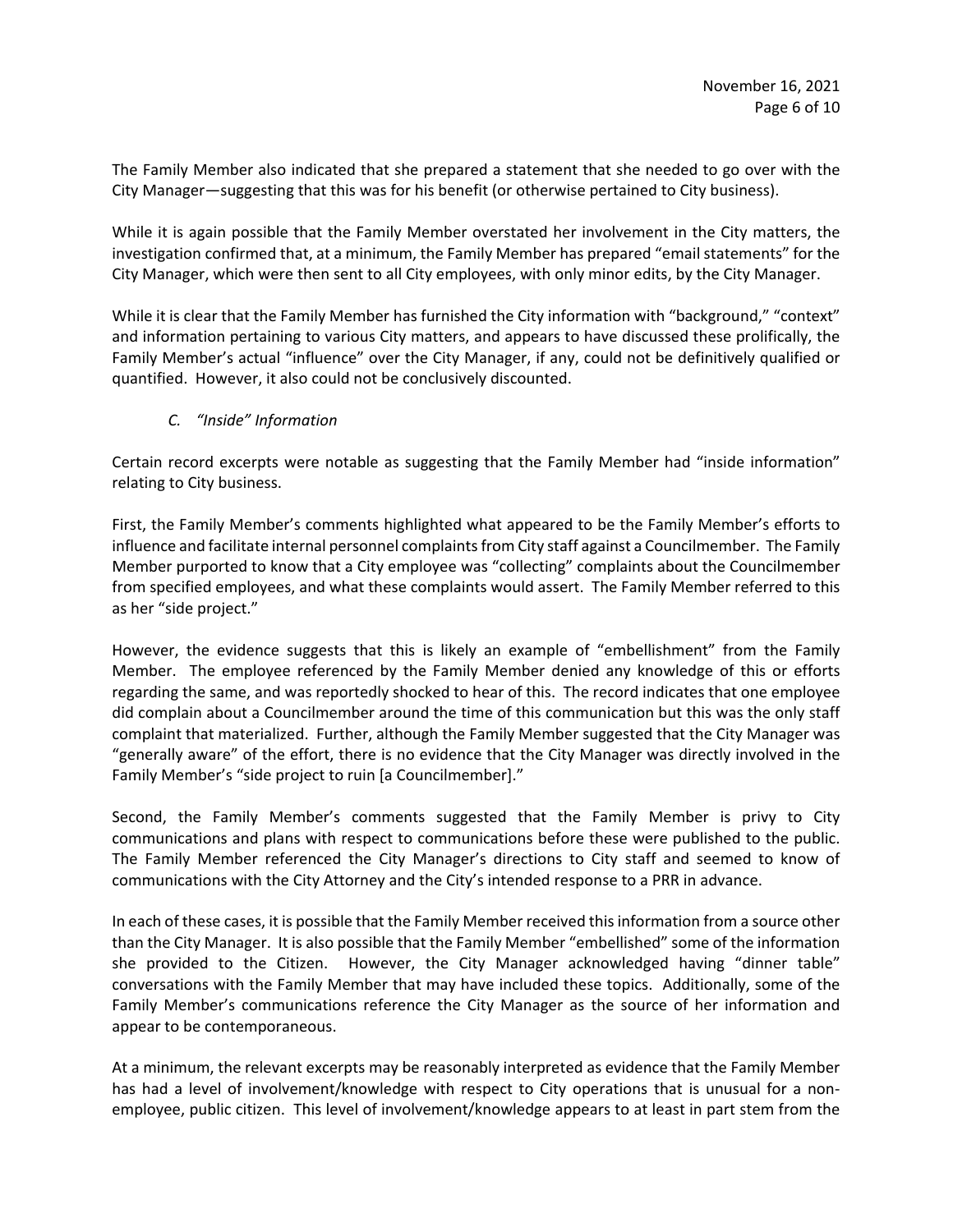The Family Member also indicated that she prepared a statement that she needed to go over with the City Manager—suggesting that this was for his benefit (or otherwise pertained to City business).

While it is again possible that the Family Member overstated her involvement in the City matters, the investigation confirmed that, at a minimum, the Family Member has prepared "email statements" for the City Manager, which were then sent to all City employees, with only minor edits, by the City Manager.

While it is clear that the Family Member has furnished the City information with "background," "context" and information pertaining to various City matters, and appears to have discussed these prolifically, the Family Member's actual "influence" over the City Manager, if any, could not be definitively qualified or quantified. However, it also could not be conclusively discounted.

## *C. "Inside" Information*

Certain record excerpts were notable as suggesting that the Family Member had "inside information" relating to City business.

First, the Family Member's comments highlighted what appeared to be the Family Member's efforts to influence and facilitate internal personnel complaints from City staff against a Councilmember. The Family Member purported to know that a City employee was "collecting" complaints about the Councilmember from specified employees, and what these complaints would assert. The Family Member referred to this as her "side project."

However, the evidence suggests that this is likely an example of "embellishment" from the Family Member. The employee referenced by the Family Member denied any knowledge of this or efforts regarding the same, and was reportedly shocked to hear of this. The record indicates that one employee did complain about a Councilmember around the time of this communication but this was the only staff complaint that materialized. Further, although the Family Member suggested that the City Manager was "generally aware" of the effort, there is no evidence that the City Manager was directly involved in the Family Member's "side project to ruin [a Councilmember]."

Second, the Family Member's comments suggested that the Family Member is privy to City communications and plans with respect to communications before these were published to the public. The Family Member referenced the City Manager's directions to City staff and seemed to know of communications with the City Attorney and the City's intended response to a PRR in advance.

In each of these cases, it is possible that the Family Member received this information from a source other than the City Manager. It is also possible that the Family Member "embellished" some of the information she provided to the Citizen. However, the City Manager acknowledged having "dinner table" conversations with the Family Member that may have included these topics. Additionally, some of the Family Member's communications reference the City Manager as the source of her information and appear to be contemporaneous.

At a minimum, the relevant excerpts may be reasonably interpreted as evidence that the Family Member has had a level of involvement/knowledge with respect to City operations that is unusual for a nonemployee, public citizen. This level of involvement/knowledge appears to at least in part stem from the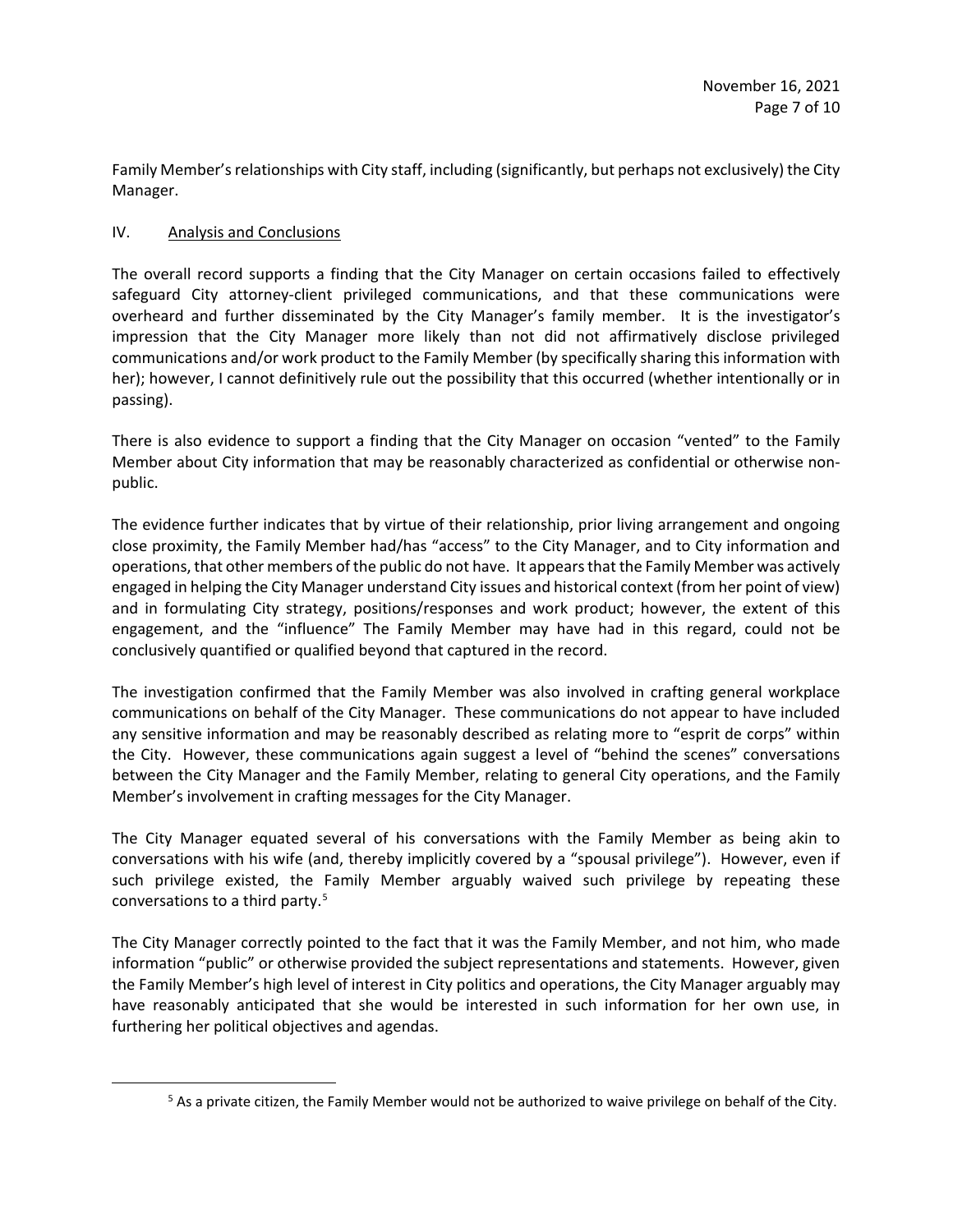Family Member's relationships with City staff, including (significantly, but perhaps not exclusively) the City Manager.

## IV. Analysis and Conclusions

The overall record supports a finding that the City Manager on certain occasions failed to effectively safeguard City attorney-client privileged communications, and that these communications were overheard and further disseminated by the City Manager's family member. It is the investigator's impression that the City Manager more likely than not did not affirmatively disclose privileged communications and/or work product to the Family Member (by specifically sharing this information with her); however, I cannot definitively rule out the possibility that this occurred (whether intentionally or in passing).

There is also evidence to support a finding that the City Manager on occasion "vented" to the Family Member about City information that may be reasonably characterized as confidential or otherwise nonpublic.

The evidence further indicates that by virtue of their relationship, prior living arrangement and ongoing close proximity, the Family Member had/has "access" to the City Manager, and to City information and operations, that other members of the public do not have. It appears that the Family Member was actively engaged in helping the City Manager understand City issues and historical context (from her point of view) and in formulating City strategy, positions/responses and work product; however, the extent of this engagement, and the "influence" The Family Member may have had in this regard, could not be conclusively quantified or qualified beyond that captured in the record.

The investigation confirmed that the Family Member was also involved in crafting general workplace communications on behalf of the City Manager. These communications do not appear to have included any sensitive information and may be reasonably described as relating more to "esprit de corps" within the City. However, these communications again suggest a level of "behind the scenes" conversations between the City Manager and the Family Member, relating to general City operations, and the Family Member's involvement in crafting messages for the City Manager.

The City Manager equated several of his conversations with the Family Member as being akin to conversations with his wife (and, thereby implicitly covered by a "spousal privilege"). However, even if such privilege existed, the Family Member arguably waived such privilege by repeating these conversations to a third party.<sup>5</sup>

The City Manager correctly pointed to the fact that it was the Family Member, and not him, who made information "public" or otherwise provided the subject representations and statements. However, given the Family Member's high level of interest in City politics and operations, the City Manager arguably may have reasonably anticipated that she would be interested in such information for her own use, in furthering her political objectives and agendas.

 $<sup>5</sup>$  As a private citizen, the Family Member would not be authorized to waive privilege on behalf of the City.</sup>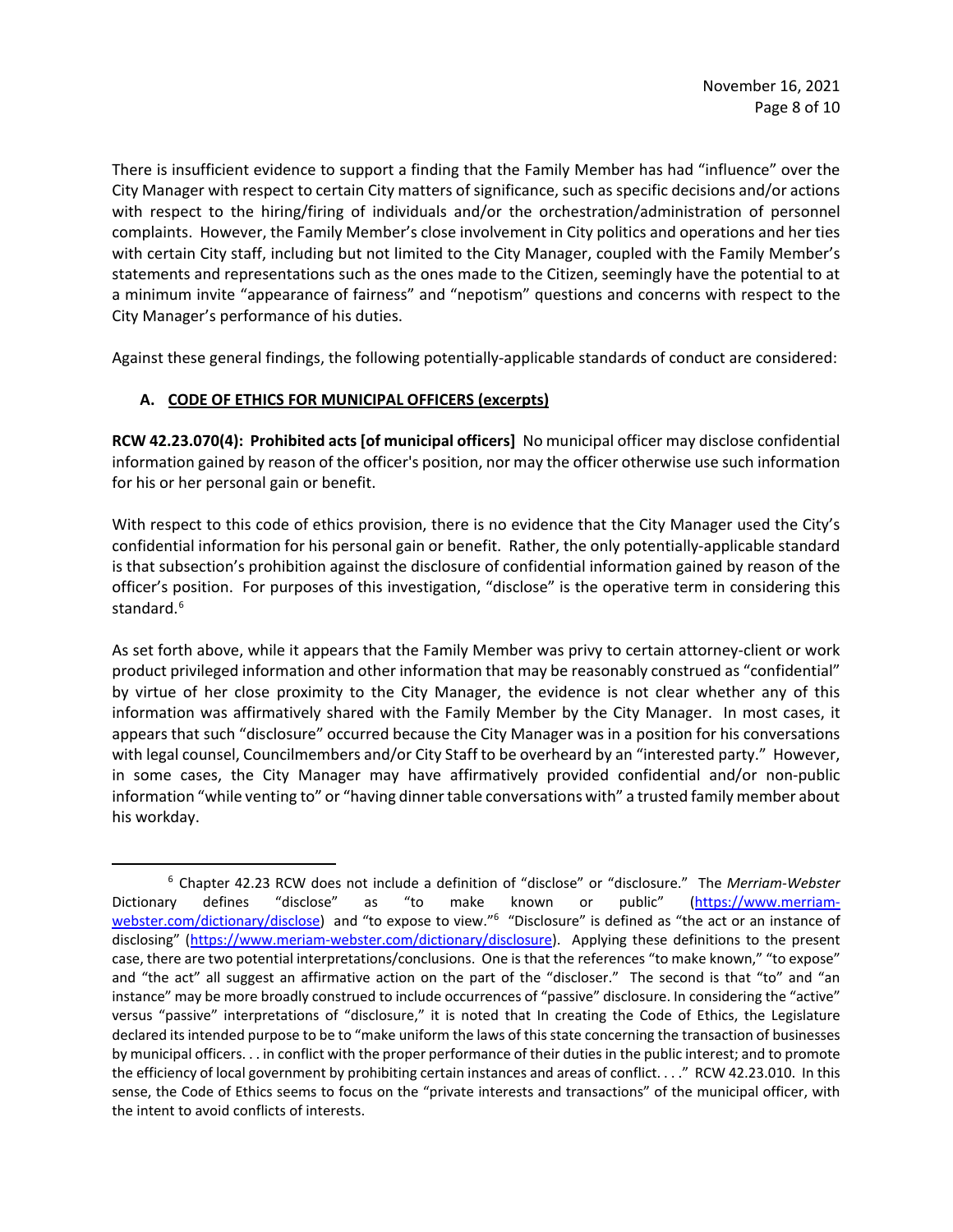There is insufficient evidence to support a finding that the Family Member has had "influence" over the City Manager with respect to certain City matters of significance, such as specific decisions and/or actions with respect to the hiring/firing of individuals and/or the orchestration/administration of personnel complaints. However, the Family Member's close involvement in City politics and operations and her ties with certain City staff, including but not limited to the City Manager, coupled with the Family Member's statements and representations such as the ones made to the Citizen, seemingly have the potential to at a minimum invite "appearance of fairness" and "nepotism" questions and concerns with respect to the City Manager's performance of his duties.

Against these general findings, the following potentially-applicable standards of conduct are considered:

# **A. CODE OF ETHICS FOR MUNICIPAL OFFICERS (excerpts)**

**RCW 42.23.070(4): Prohibited acts [of municipal officers]** No municipal officer may disclose confidential information gained by reason of the officer's position, nor may the officer otherwise use such information for his or her personal gain or benefit.

With respect to this code of ethics provision, there is no evidence that the City Manager used the City's confidential information for his personal gain or benefit. Rather, the only potentially-applicable standard is that subsection's prohibition against the disclosure of confidential information gained by reason of the officer's position. For purposes of this investigation, "disclose" is the operative term in considering this standard.<sup>6</sup>

As set forth above, while it appears that the Family Member was privy to certain attorney-client or work product privileged information and other information that may be reasonably construed as "confidential" by virtue of her close proximity to the City Manager, the evidence is not clear whether any of this information was affirmatively shared with the Family Member by the City Manager. In most cases, it appears that such "disclosure" occurred because the City Manager was in a position for his conversations with legal counsel, Councilmembers and/or City Staff to be overheard by an "interested party." However, in some cases, the City Manager may have affirmatively provided confidential and/or non-public information "while venting to" or "having dinner table conversations with" a trusted family member about his workday.

<sup>6</sup> Chapter 42.23 RCW does not include a definition of "disclose" or "disclosure." The *Merriam-Webster* Dictionary defines "disclose" as "to make known or public" (https://www.merriamwebster.com/dictionary/disclose) and "to expose to view."<sup>6</sup> "Disclosure" is defined as "the act or an instance of disclosing" (https://www.meriam-webster.com/dictionary/disclosure). Applying these definitions to the present case, there are two potential interpretations/conclusions. One is that the references "to make known," "to expose" and "the act" all suggest an affirmative action on the part of the "discloser." The second is that "to" and "an instance" may be more broadly construed to include occurrences of "passive" disclosure. In considering the "active" versus "passive" interpretations of "disclosure," it is noted that In creating the Code of Ethics, the Legislature declared its intended purpose to be to "make uniform the laws of this state concerning the transaction of businesses by municipal officers. . . in conflict with the proper performance of their duties in the public interest; and to promote the efficiency of local government by prohibiting certain instances and areas of conflict. . . ." RCW 42.23.010. In this sense, the Code of Ethics seems to focus on the "private interests and transactions" of the municipal officer, with the intent to avoid conflicts of interests.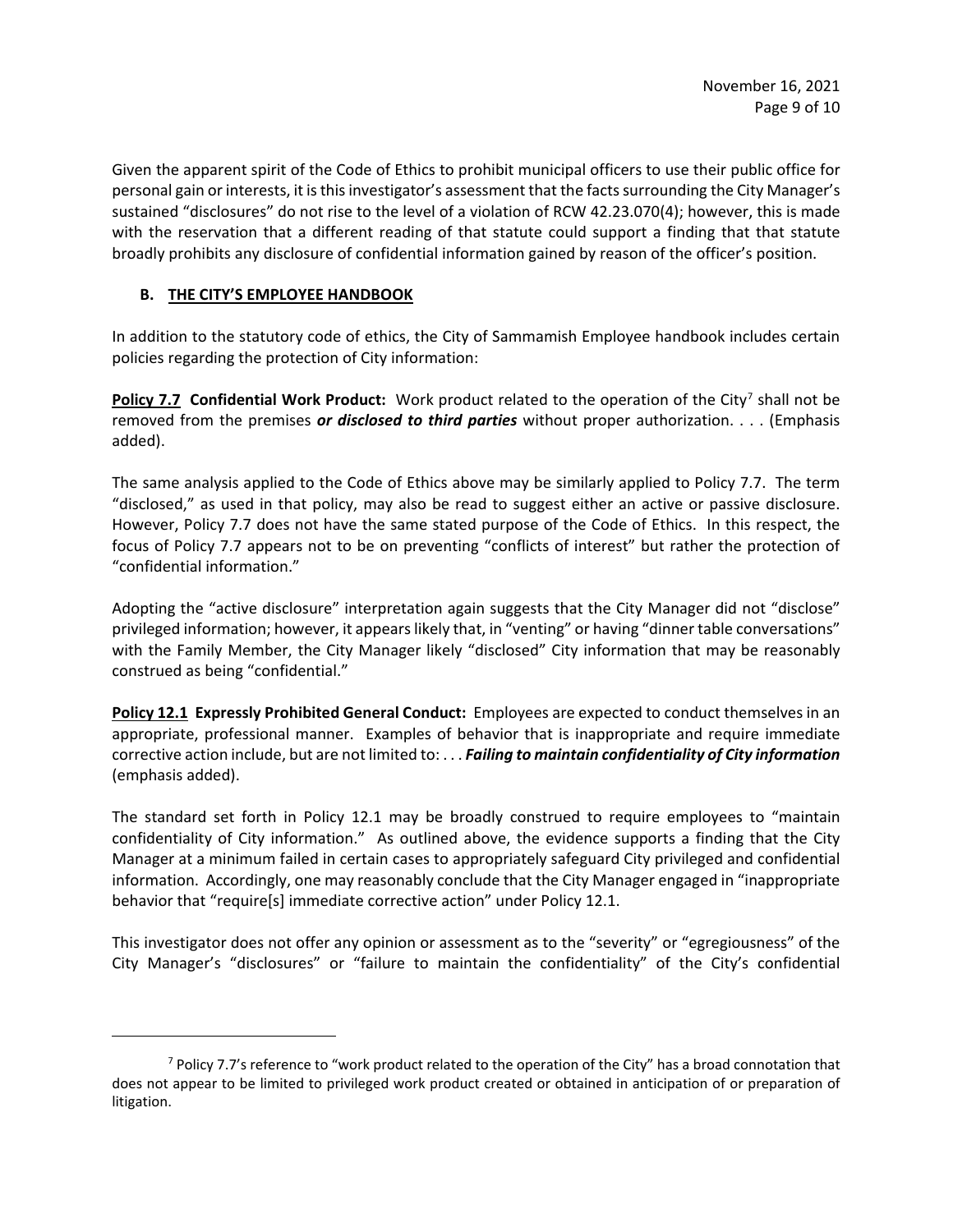Given the apparent spirit of the Code of Ethics to prohibit municipal officers to use their public office for personal gain or interests, it is this investigator's assessment that the facts surrounding the City Manager's sustained "disclosures" do not rise to the level of a violation of RCW 42.23.070(4); however, this is made with the reservation that a different reading of that statute could support a finding that that statute broadly prohibits any disclosure of confidential information gained by reason of the officer's position.

# **B. THE CITY'S EMPLOYEE HANDBOOK**

In addition to the statutory code of ethics, the City of Sammamish Employee handbook includes certain policies regarding the protection of City information:

**Policy 7.7 Confidential Work Product:** Work product related to the operation of the City<sup>7</sup> shall not be removed from the premises *or disclosed to third parties* without proper authorization. . . . (Emphasis added).

The same analysis applied to the Code of Ethics above may be similarly applied to Policy 7.7. The term "disclosed," as used in that policy, may also be read to suggest either an active or passive disclosure. However, Policy 7.7 does not have the same stated purpose of the Code of Ethics. In this respect, the focus of Policy 7.7 appears not to be on preventing "conflicts of interest" but rather the protection of "confidential information."

Adopting the "active disclosure" interpretation again suggests that the City Manager did not "disclose" privileged information; however, it appears likely that, in "venting" or having "dinner table conversations" with the Family Member, the City Manager likely "disclosed" City information that may be reasonably construed as being "confidential."

**Policy 12.1 Expressly Prohibited General Conduct:** Employees are expected to conduct themselves in an appropriate, professional manner. Examples of behavior that is inappropriate and require immediate corrective action include, but are not limited to: . . . *Failing to maintain confidentiality of City information* (emphasis added).

The standard set forth in Policy 12.1 may be broadly construed to require employees to "maintain confidentiality of City information." As outlined above, the evidence supports a finding that the City Manager at a minimum failed in certain cases to appropriately safeguard City privileged and confidential information. Accordingly, one may reasonably conclude that the City Manager engaged in "inappropriate behavior that "require[s] immediate corrective action" under Policy 12.1.

This investigator does not offer any opinion or assessment as to the "severity" or "egregiousness" of the City Manager's "disclosures" or "failure to maintain the confidentiality" of the City's confidential

 $7$  Policy 7.7's reference to "work product related to the operation of the City" has a broad connotation that does not appear to be limited to privileged work product created or obtained in anticipation of or preparation of litigation.